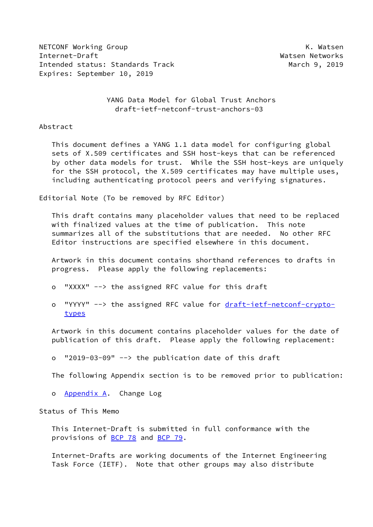NETCONF Working Group **K. Watsen** Internet-Draft Watsen Networks Intended status: Standards Track March 9, 2019 Expires: September 10, 2019

 YANG Data Model for Global Trust Anchors draft-ietf-netconf-trust-anchors-03

Abstract

 This document defines a YANG 1.1 data model for configuring global sets of X.509 certificates and SSH host-keys that can be referenced by other data models for trust. While the SSH host-keys are uniquely for the SSH protocol, the X.509 certificates may have multiple uses, including authenticating protocol peers and verifying signatures.

Editorial Note (To be removed by RFC Editor)

 This draft contains many placeholder values that need to be replaced with finalized values at the time of publication. This note summarizes all of the substitutions that are needed. No other RFC Editor instructions are specified elsewhere in this document.

 Artwork in this document contains shorthand references to drafts in progress. Please apply the following replacements:

- o "XXXX" --> the assigned RFC value for this draft
- o "YYYY" --> the assigned RFC value for [draft-ietf-netconf-crypto](https://datatracker.ietf.org/doc/pdf/draft-ietf-netconf-crypto-types)[types](https://datatracker.ietf.org/doc/pdf/draft-ietf-netconf-crypto-types)

 Artwork in this document contains placeholder values for the date of publication of this draft. Please apply the following replacement:

o "2019-03-09" --> the publication date of this draft

The following Appendix section is to be removed prior to publication:

o **[Appendix A.](#page-15-0)** Change Log

Status of This Memo

 This Internet-Draft is submitted in full conformance with the provisions of [BCP 78](https://datatracker.ietf.org/doc/pdf/bcp78) and [BCP 79](https://datatracker.ietf.org/doc/pdf/bcp79).

 Internet-Drafts are working documents of the Internet Engineering Task Force (IETF). Note that other groups may also distribute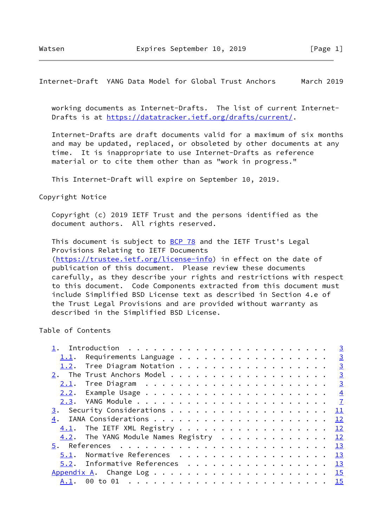working documents as Internet-Drafts. The list of current Internet- Drafts is at<https://datatracker.ietf.org/drafts/current/>.

 Internet-Drafts are draft documents valid for a maximum of six months and may be updated, replaced, or obsoleted by other documents at any time. It is inappropriate to use Internet-Drafts as reference material or to cite them other than as "work in progress."

This Internet-Draft will expire on September 10, 2019.

Copyright Notice

 Copyright (c) 2019 IETF Trust and the persons identified as the document authors. All rights reserved.

This document is subject to **[BCP 78](https://datatracker.ietf.org/doc/pdf/bcp78)** and the IETF Trust's Legal Provisions Relating to IETF Documents [\(https://trustee.ietf.org/license-info](https://trustee.ietf.org/license-info)) in effect on the date of publication of this document. Please review these documents carefully, as they describe your rights and restrictions with respect to this document. Code Components extracted from this document must include Simplified BSD License text as described in Section 4.e of the Trust Legal Provisions and are provided without warranty as described in the Simplified BSD License.

Table of Contents

|      |                                        |                       |  |  |  |  |  |  |  |  |  |  | $\overline{3}$ |
|------|----------------------------------------|-----------------------|--|--|--|--|--|--|--|--|--|--|----------------|
| 1.1. |                                        | Requirements Language |  |  |  |  |  |  |  |  |  |  | $\overline{3}$ |
|      |                                        |                       |  |  |  |  |  |  |  |  |  |  | $\overline{3}$ |
|      |                                        |                       |  |  |  |  |  |  |  |  |  |  | $\overline{3}$ |
| 2.1. |                                        |                       |  |  |  |  |  |  |  |  |  |  |                |
|      |                                        |                       |  |  |  |  |  |  |  |  |  |  |                |
|      |                                        |                       |  |  |  |  |  |  |  |  |  |  |                |
|      |                                        |                       |  |  |  |  |  |  |  |  |  |  | 11             |
|      |                                        |                       |  |  |  |  |  |  |  |  |  |  | 12             |
|      | $4.1$ . The IETF XML Registry 12       |                       |  |  |  |  |  |  |  |  |  |  |                |
|      | 4.2. The YANG Module Names Registry 12 |                       |  |  |  |  |  |  |  |  |  |  |                |
|      |                                        |                       |  |  |  |  |  |  |  |  |  |  |                |
| 5.1. |                                        |                       |  |  |  |  |  |  |  |  |  |  |                |
|      | $5.2$ . Informative References 13      |                       |  |  |  |  |  |  |  |  |  |  |                |
|      |                                        |                       |  |  |  |  |  |  |  |  |  |  |                |
| A.1. |                                        |                       |  |  |  |  |  |  |  |  |  |  |                |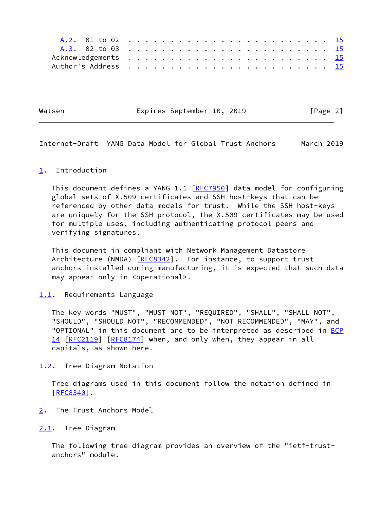Watsen Expires September 10, 2019 [Page 2]

<span id="page-2-1"></span>Internet-Draft YANG Data Model for Global Trust Anchors March 2019

#### <span id="page-2-0"></span>[1](#page-2-0). Introduction

This document defines a YANG 1.1 [\[RFC7950](https://datatracker.ietf.org/doc/pdf/rfc7950)] data model for configuring global sets of X.509 certificates and SSH host-keys that can be referenced by other data models for trust. While the SSH host-keys are uniquely for the SSH protocol, the X.509 certificates may be used for multiple uses, including authenticating protocol peers and verifying signatures.

 This document in compliant with Network Management Datastore Architecture (NMDA) [\[RFC8342](https://datatracker.ietf.org/doc/pdf/rfc8342)]. For instance, to support trust anchors installed during manufacturing, it is expected that such data may appear only in <operational>.

#### <span id="page-2-2"></span>[1.1](#page-2-2). Requirements Language

 The key words "MUST", "MUST NOT", "REQUIRED", "SHALL", "SHALL NOT", "SHOULD", "SHOULD NOT", "RECOMMENDED", "NOT RECOMMENDED", "MAY", and "OPTIONAL" in this document are to be interpreted as described in [BCP](https://datatracker.ietf.org/doc/pdf/bcp14) [14](https://datatracker.ietf.org/doc/pdf/bcp14) [[RFC2119\]](https://datatracker.ietf.org/doc/pdf/rfc2119) [\[RFC8174](https://datatracker.ietf.org/doc/pdf/rfc8174)] when, and only when, they appear in all capitals, as shown here.

<span id="page-2-3"></span>[1.2](#page-2-3). Tree Diagram Notation

 Tree diagrams used in this document follow the notation defined in [\[RFC8340](https://datatracker.ietf.org/doc/pdf/rfc8340)].

<span id="page-2-4"></span>[2](#page-2-4). The Trust Anchors Model

<span id="page-2-5"></span>[2.1](#page-2-5). Tree Diagram

 The following tree diagram provides an overview of the "ietf-trust anchors" module.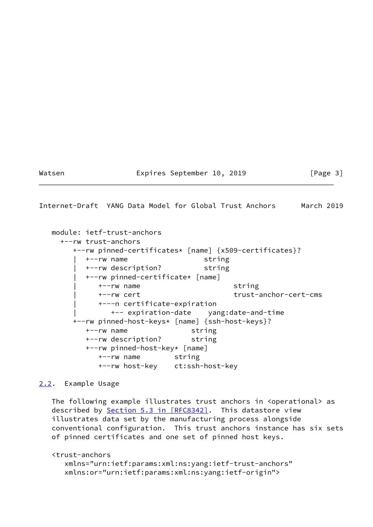## Watsen **Expires September 10, 2019** [Page 3]

<span id="page-3-1"></span>Internet-Draft YANG Data Model for Global Trust Anchors March 2019

 module: ietf-trust-anchors +--rw trust-anchors +--rw pinned-certificates\* [name] {x509-certificates}? | +--rw name string | +--rw description? string | +--rw pinned-certificate\* [name] | +--rw name string | +--rw cert trust-anchor-cert-cms | +---n certificate-expiration | +-- expiration-date yang:date-and-time +--rw pinned-host-keys\* [name] {ssh-host-keys}? +--rw name string +--rw description? string +--rw pinned-host-key\* [name] +--rw name string +--rw host-key ct:ssh-host-key

# <span id="page-3-0"></span>[2.2](#page-3-0). Example Usage

The following example illustrates trust anchors in <operational> as described by Section [5.3 in \[RFC8342\]](https://datatracker.ietf.org/doc/pdf/rfc8342#section-5.3). This datastore view illustrates data set by the manufacturing process alongside conventional configuration. This trust anchors instance has six sets of pinned certificates and one set of pinned host keys.

```
 <trust-anchors
    xmlns="urn:ietf:params:xml:ns:yang:ietf-trust-anchors"
    xmlns:or="urn:ietf:params:xml:ns:yang:ietf-origin">
```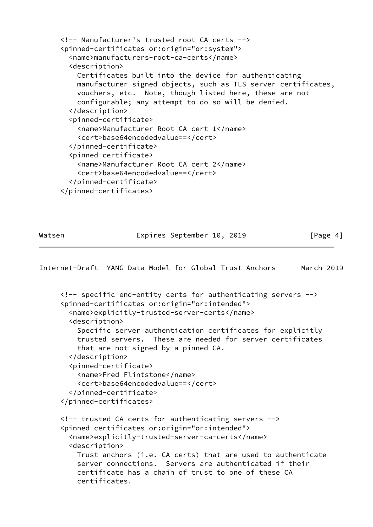```
 <!-- Manufacturer's trusted root CA certs -->
 <pinned-certificates or:origin="or:system">
   <name>manufacturers-root-ca-certs</name>
   <description>
     Certificates built into the device for authenticating
     manufacturer-signed objects, such as TLS server certificates,
     vouchers, etc. Note, though listed here, these are not
     configurable; any attempt to do so will be denied.
   </description>
   <pinned-certificate>
     <name>Manufacturer Root CA cert 1</name>
     <cert>base64encodedvalue==</cert>
   </pinned-certificate>
   <pinned-certificate>
     <name>Manufacturer Root CA cert 2</name>
     <cert>base64encodedvalue==</cert>
   </pinned-certificate>
 </pinned-certificates>
```
Watsen **Expires September 10, 2019** [Page 4]

Internet-Draft YANG Data Model for Global Trust Anchors March 2019

```
 <!-- specific end-entity certs for authenticating servers -->
 <pinned-certificates or:origin="or:intended">
   <name>explicitly-trusted-server-certs</name>
   <description>
     Specific server authentication certificates for explicitly
     trusted servers. These are needed for server certificates
     that are not signed by a pinned CA.
   </description>
   <pinned-certificate>
     <name>Fred Flintstone</name>
     <cert>base64encodedvalue==</cert>
  </pinned-certificate>
 </pinned-certificates>
 <!-- trusted CA certs for authenticating servers -->
 <pinned-certificates or:origin="or:intended">
   <name>explicitly-trusted-server-ca-certs</name>
   <description>
    Trust anchors (i.e. CA certs) that are used to authenticate
     server connections. Servers are authenticated if their
     certificate has a chain of trust to one of these CA
     certificates.
```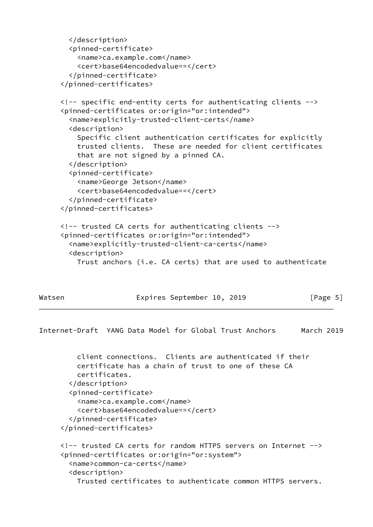```
 </description>
        <pinned-certificate>
          <name>ca.example.com</name>
          <cert>base64encodedvalue==</cert>
        </pinned-certificate>
      </pinned-certificates>
      <!-- specific end-entity certs for authenticating clients -->
      <pinned-certificates or:origin="or:intended">
        <name>explicitly-trusted-client-certs</name>
        <description>
          Specific client authentication certificates for explicitly
          trusted clients. These are needed for client certificates
          that are not signed by a pinned CA.
        </description>
        <pinned-certificate>
          <name>George Jetson</name>
          <cert>base64encodedvalue==</cert>
        </pinned-certificate>
      </pinned-certificates>
      <!-- trusted CA certs for authenticating clients -->
      <pinned-certificates or:origin="or:intended">
        <name>explicitly-trusted-client-ca-certs</name>
        <description>
          Trust anchors (i.e. CA certs) that are used to authenticate
Watsen Expires September 10, 2019 [Page 5]
Internet-Draft YANG Data Model for Global Trust Anchors March 2019
          client connections. Clients are authenticated if their
          certificate has a chain of trust to one of these CA
          certificates.
        </description>
        <pinned-certificate>
          <name>ca.example.com</name>
          <cert>base64encodedvalue==</cert>
        </pinned-certificate>
      </pinned-certificates>
      <!-- trusted CA certs for random HTTPS servers on Internet -->
      <pinned-certificates or:origin="or:system">
        <name>common-ca-certs</name>
        <description>
          Trusted certificates to authenticate common HTTPS servers.
```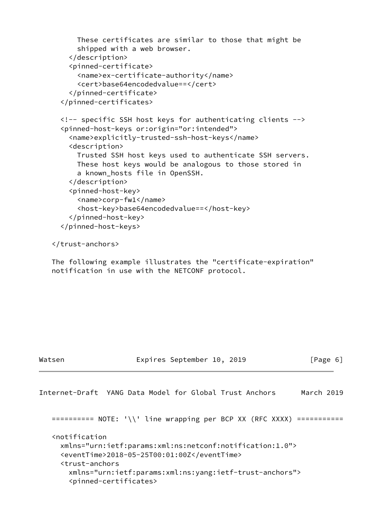```
 These certificates are similar to those that might be
     shipped with a web browser.
   </description>
   <pinned-certificate>
     <name>ex-certificate-authority</name>
     <cert>base64encodedvalue==</cert>
   </pinned-certificate>
 </pinned-certificates>
 <!-- specific SSH host keys for authenticating clients -->
 <pinned-host-keys or:origin="or:intended">
   <name>explicitly-trusted-ssh-host-keys</name>
   <description>
     Trusted SSH host keys used to authenticate SSH servers.
     These host keys would be analogous to those stored in
     a known_hosts file in OpenSSH.
   </description>
   <pinned-host-key>
     <name>corp-fw1</name>
     <host-key>base64encodedvalue==</host-key>
   </pinned-host-key>
 </pinned-host-keys>
```

```
 </trust-anchors>
```
 The following example illustrates the "certificate-expiration" notification in use with the NETCONF protocol.

Watsen **Expires September 10, 2019** [Page 6]

```
Internet-Draft YANG Data Model for Global Trust Anchors March 2019
    ========== NOTE: '\\' line wrapping per BCP XX (RFC XXXX) ===========
    <notification
      xmlns="urn:ietf:params:xml:ns:netconf:notification:1.0">
      <eventTime>2018-05-25T00:01:00Z</eventTime>
      <trust-anchors
        xmlns="urn:ietf:params:xml:ns:yang:ietf-trust-anchors">
        <pinned-certificates>
```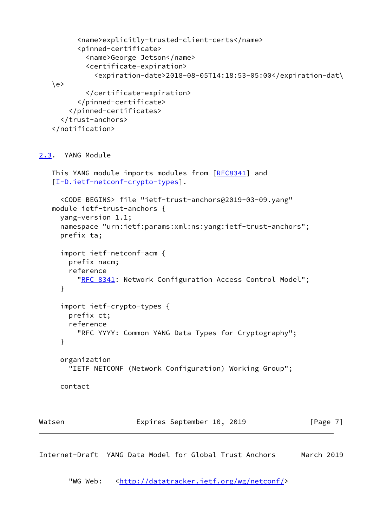```
 <name>explicitly-trusted-client-certs</name>
          <pinned-certificate>
            <name>George Jetson</name>
            <certificate-expiration>
              <expiration-date>2018-08-05T14:18:53-05:00</expiration-dat\
   \langle e \rangle </certificate-expiration>
          </pinned-certificate>
        </pinned-certificates>
      </trust-anchors>
    </notification>
2.3. YANG Module
   This YANG module imports modules from [RFC8341] and
    [I-D.ietf-netconf-crypto-types].
      <CODE BEGINS> file "ietf-trust-anchors@2019-03-09.yang"
   module ietf-trust-anchors {
      yang-version 1.1;
      namespace "urn:ietf:params:xml:ns:yang:ietf-trust-anchors";
      prefix ta;
      import ietf-netconf-acm {
        prefix nacm;
        reference
         RFC 8341: Network Configuration Access Control Model";
      }
      import ietf-crypto-types {
        prefix ct;
        reference
          "RFC YYYY: Common YANG Data Types for Cryptography";
      }
      organization
        "IETF NETCONF (Network Configuration) Working Group";
      contact
Watsen Expires September 10, 2019 [Page 7]
```
"WG Web: [<http://datatracker.ietf.org/wg/netconf/](http://datatracker.ietf.org/wg/netconf/)>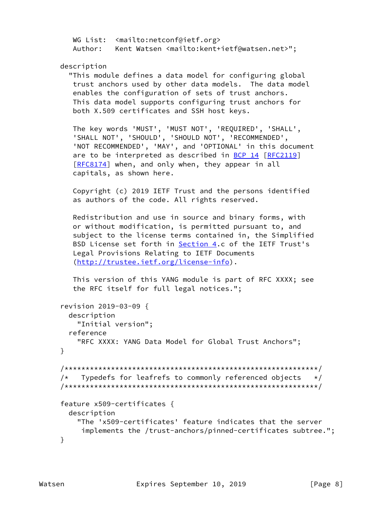```
WG List: <mailto:netconf@ietf.org>
 Author: Kent Watsen <mailto:kent+ietf@watsen.net>";
```

```
 description
```
 "This module defines a data model for configuring global trust anchors used by other data models. The data model enables the configuration of sets of trust anchors. This data model supports configuring trust anchors for both X.509 certificates and SSH host keys.

 The key words 'MUST', 'MUST NOT', 'REQUIRED', 'SHALL', 'SHALL NOT', 'SHOULD', 'SHOULD NOT', 'RECOMMENDED', 'NOT RECOMMENDED', 'MAY', and 'OPTIONAL' in this document are to be interpreted as described in [BCP 14](https://datatracker.ietf.org/doc/pdf/bcp14) [[RFC2119](https://datatracker.ietf.org/doc/pdf/rfc2119)] [\[RFC8174](https://datatracker.ietf.org/doc/pdf/rfc8174)] when, and only when, they appear in all capitals, as shown here.

> Copyright (c) 2019 IETF Trust and the persons identified as authors of the code. All rights reserved.

 Redistribution and use in source and binary forms, with or without modification, is permitted pursuant to, and subject to the license terms contained in, the Simplified BSD License set forth in [Section 4.](#page-12-1)c of the IETF Trust's Legal Provisions Relating to IETF Documents [\(http://trustee.ietf.org/license-info](http://trustee.ietf.org/license-info)).

 This version of this YANG module is part of RFC XXXX; see the RFC itself for full legal notices.";

```
 revision 2019-03-09 {
   description
     "Initial version";
   reference
     "RFC XXXX: YANG Data Model for Global Trust Anchors";
 }
 /************************************************************/
/* Typedefs for leafrefs to commonly referenced objects */ /************************************************************/
 feature x509-certificates {
   description
     "The 'x509-certificates' feature indicates that the server
      implements the /trust-anchors/pinned-certificates subtree.";
 }
```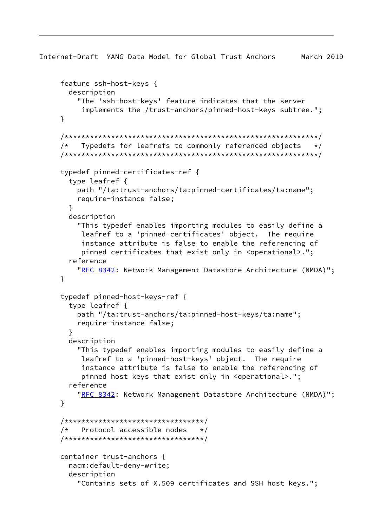```
 feature ssh-host-keys {
   description
     "The 'ssh-host-keys' feature indicates that the server
      implements the /trust-anchors/pinned-host-keys subtree.";
 }
 /************************************************************/
/* Typedefs for leafrefs to commonly referenced objects */ /************************************************************/
 typedef pinned-certificates-ref {
   type leafref {
     path "/ta:trust-anchors/ta:pinned-certificates/ta:name";
     require-instance false;
   }
   description
     "This typedef enables importing modules to easily define a
      leafref to a 'pinned-certificates' object. The require
      instance attribute is false to enable the referencing of
      pinned certificates that exist only in <operational>.";
   reference
    RFC 8342: Network Management Datastore Architecture (NMDA)";
 }
 typedef pinned-host-keys-ref {
   type leafref {
     path "/ta:trust-anchors/ta:pinned-host-keys/ta:name";
     require-instance false;
   }
   description
     "This typedef enables importing modules to easily define a
      leafref to a 'pinned-host-keys' object. The require
      instance attribute is false to enable the referencing of
      pinned host keys that exist only in <operational>.";
   reference
    RFC 8342: Network Management Datastore Architecture (NMDA)";
 }
 /*********************************/
/* Protocol accessible nodes */ /*********************************/
 container trust-anchors {
   nacm:default-deny-write;
   description
     "Contains sets of X.509 certificates and SSH host keys.";
```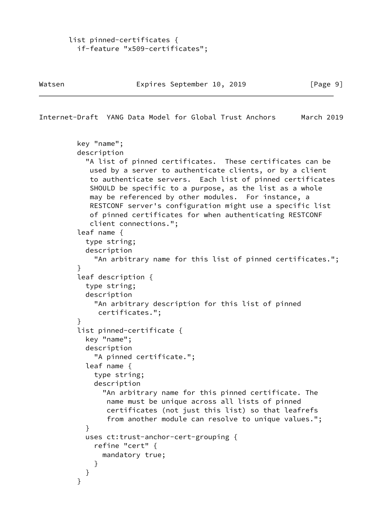```
 list pinned-certificates {
   if-feature "x509-certificates";
```

```
 key "name";
          description
            "A list of pinned certificates. These certificates can be
            used by a server to authenticate clients, or by a client
            to authenticate servers. Each list of pinned certificates
            SHOULD be specific to a purpose, as the list as a whole
            may be referenced by other modules. For instance, a
            RESTCONF server's configuration might use a specific list
            of pinned certificates for when authenticating RESTCONF
            client connections.";
          leaf name {
            type string;
           description
              "An arbitrary name for this list of pinned certificates.";
 }
          leaf description {
           type string;
           description
              "An arbitrary description for this list of pinned
              certificates.";
 }
          list pinned-certificate {
           key "name";
           description
              "A pinned certificate.";
            leaf name {
             type string;
             description
                "An arbitrary name for this pinned certificate. The
                name must be unique across all lists of pinned
                 certificates (not just this list) so that leafrefs
                 from another module can resolve to unique values.";
 }
           uses ct:trust-anchor-cert-grouping {
              refine "cert" {
               mandatory true;
 }
           }
          }
```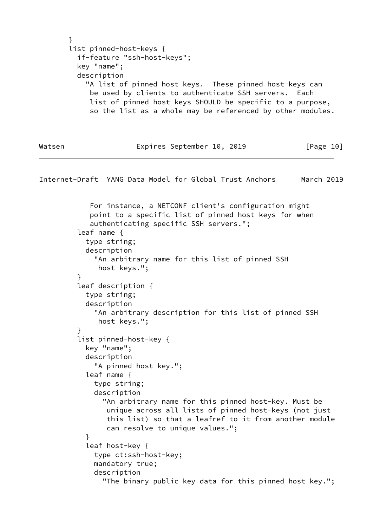```
 }
 list pinned-host-keys {
   if-feature "ssh-host-keys";
   key "name";
   description
     "A list of pinned host keys. These pinned host-keys can
      be used by clients to authenticate SSH servers. Each
      list of pinned host keys SHOULD be specific to a purpose,
      so the list as a whole may be referenced by other modules.
```
Watsen Expires September 10, 2019 [Page 10]

<span id="page-11-0"></span>Internet-Draft YANG Data Model for Global Trust Anchors March 2019

 For instance, a NETCONF client's configuration might point to a specific list of pinned host keys for when authenticating specific SSH servers."; leaf name { type string; description "An arbitrary name for this list of pinned SSH host keys."; } leaf description { type string; description "An arbitrary description for this list of pinned SSH host keys."; } list pinned-host-key { key "name"; description "A pinned host key."; leaf name { type string; description "An arbitrary name for this pinned host-key. Must be unique across all lists of pinned host-keys (not just this list) so that a leafref to it from another module can resolve to unique values."; } leaf host-key { type ct:ssh-host-key; mandatory true; description "The binary public key data for this pinned host key.";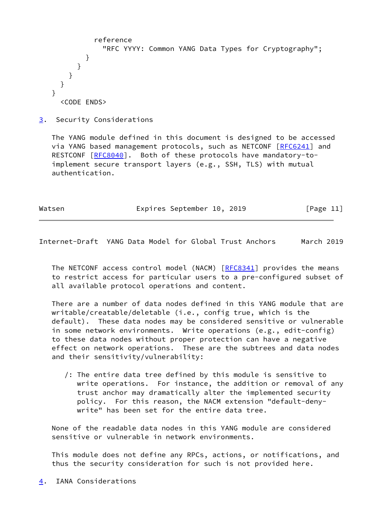```
 reference
                "RFC YYYY: Common YANG Data Types for Cryptography";
 }
         }
       }
     }
   }
     <CODE ENDS>
```
<span id="page-12-0"></span>[3](#page-12-0). Security Considerations

 The YANG module defined in this document is designed to be accessed via YANG based management protocols, such as NETCONF [\[RFC6241](https://datatracker.ietf.org/doc/pdf/rfc6241)] and RESTCONF [\[RFC8040](https://datatracker.ietf.org/doc/pdf/rfc8040)]. Both of these protocols have mandatory-toimplement secure transport layers (e.g., SSH, TLS) with mutual authentication.

Watsen **Expires September 10, 2019** [Page 11]

<span id="page-12-2"></span>Internet-Draft YANG Data Model for Global Trust Anchors March 2019

 The NETCONF access control model (NACM) [\[RFC8341](https://datatracker.ietf.org/doc/pdf/rfc8341)] provides the means to restrict access for particular users to a pre-configured subset of all available protocol operations and content.

 There are a number of data nodes defined in this YANG module that are writable/creatable/deletable (i.e., config true, which is the default). These data nodes may be considered sensitive or vulnerable in some network environments. Write operations (e.g., edit-config) to these data nodes without proper protection can have a negative effect on network operations. These are the subtrees and data nodes and their sensitivity/vulnerability:

 /: The entire data tree defined by this module is sensitive to write operations. For instance, the addition or removal of any trust anchor may dramatically alter the implemented security policy. For this reason, the NACM extension "default-deny write" has been set for the entire data tree.

 None of the readable data nodes in this YANG module are considered sensitive or vulnerable in network environments.

 This module does not define any RPCs, actions, or notifications, and thus the security consideration for such is not provided here.

<span id="page-12-1"></span>[4](#page-12-1). IANA Considerations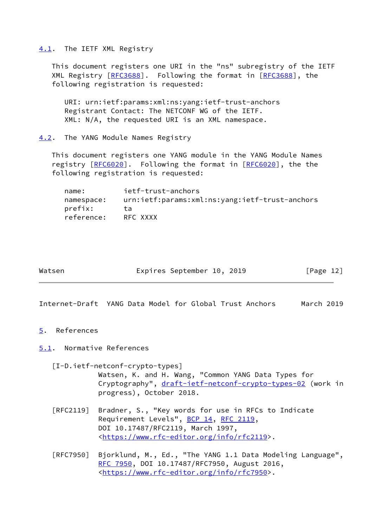## <span id="page-13-0"></span>[4.1](#page-13-0). The IETF XML Registry

 This document registers one URI in the "ns" subregistry of the IETF XML Registry [\[RFC3688](https://datatracker.ietf.org/doc/pdf/rfc3688)]. Following the format in [RFC3688], the following registration is requested:

 URI: urn:ietf:params:xml:ns:yang:ietf-trust-anchors Registrant Contact: The NETCONF WG of the IETF. XML: N/A, the requested URI is an XML namespace.

<span id="page-13-1"></span>[4.2](#page-13-1). The YANG Module Names Registry

 This document registers one YANG module in the YANG Module Names registry [\[RFC6020](https://datatracker.ietf.org/doc/pdf/rfc6020)]. Following the format in [RFC6020], the the following registration is requested:

| name:      | ietf-trust-anchors                             |
|------------|------------------------------------------------|
| namespace: | urn:ietf:params:xml:ns:yang:ietf-trust-anchors |
| prefix:    | ta                                             |
| reference: | RFC XXXX                                       |

| Watsen |
|--------|
|        |

Expires September 10, 2019 [Page 12]

<span id="page-13-3"></span>Internet-Draft YANG Data Model for Global Trust Anchors March 2019

<span id="page-13-2"></span>[5](#page-13-2). References

<span id="page-13-4"></span>[5.1](#page-13-4). Normative References

<span id="page-13-5"></span> [I-D.ietf-netconf-crypto-types] Watsen, K. and H. Wang, "Common YANG Data Types for Cryptography", [draft-ietf-netconf-crypto-types-02](https://datatracker.ietf.org/doc/pdf/draft-ietf-netconf-crypto-types-02) (work in progress), October 2018.

- [RFC2119] Bradner, S., "Key words for use in RFCs to Indicate Requirement Levels", [BCP 14](https://datatracker.ietf.org/doc/pdf/bcp14), [RFC 2119](https://datatracker.ietf.org/doc/pdf/rfc2119), DOI 10.17487/RFC2119, March 1997, <[https://www.rfc-editor.org/info/rfc2119>](https://www.rfc-editor.org/info/rfc2119).
- [RFC7950] Bjorklund, M., Ed., "The YANG 1.1 Data Modeling Language", [RFC 7950,](https://datatracker.ietf.org/doc/pdf/rfc7950) DOI 10.17487/RFC7950, August 2016, <[https://www.rfc-editor.org/info/rfc7950>](https://www.rfc-editor.org/info/rfc7950).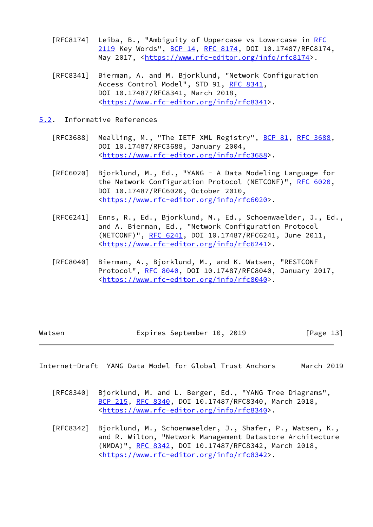- [RFC8174] Leiba, B., "Ambiguity of Uppercase vs Lowercase in [RFC](https://datatracker.ietf.org/doc/pdf/rfc2119) [2119](https://datatracker.ietf.org/doc/pdf/rfc2119) Key Words", [BCP 14](https://datatracker.ietf.org/doc/pdf/bcp14), [RFC 8174,](https://datatracker.ietf.org/doc/pdf/rfc8174) DOI 10.17487/RFC8174, May 2017, [<https://www.rfc-editor.org/info/rfc8174](https://www.rfc-editor.org/info/rfc8174)>.
- [RFC8341] Bierman, A. and M. Bjorklund, "Network Configuration Access Control Model", STD 91, [RFC 8341](https://datatracker.ietf.org/doc/pdf/rfc8341), DOI 10.17487/RFC8341, March 2018, <[https://www.rfc-editor.org/info/rfc8341>](https://www.rfc-editor.org/info/rfc8341).
- <span id="page-14-0"></span>[5.2](#page-14-0). Informative References
	- [RFC3688] Mealling, M., "The IETF XML Registry", [BCP 81](https://datatracker.ietf.org/doc/pdf/bcp81), [RFC 3688](https://datatracker.ietf.org/doc/pdf/rfc3688), DOI 10.17487/RFC3688, January 2004, <[https://www.rfc-editor.org/info/rfc3688>](https://www.rfc-editor.org/info/rfc3688).
	- [RFC6020] Bjorklund, M., Ed., "YANG A Data Modeling Language for the Network Configuration Protocol (NETCONF)", [RFC 6020](https://datatracker.ietf.org/doc/pdf/rfc6020), DOI 10.17487/RFC6020, October 2010, <[https://www.rfc-editor.org/info/rfc6020>](https://www.rfc-editor.org/info/rfc6020).
	- [RFC6241] Enns, R., Ed., Bjorklund, M., Ed., Schoenwaelder, J., Ed., and A. Bierman, Ed., "Network Configuration Protocol (NETCONF)", [RFC 6241,](https://datatracker.ietf.org/doc/pdf/rfc6241) DOI 10.17487/RFC6241, June 2011, <[https://www.rfc-editor.org/info/rfc6241>](https://www.rfc-editor.org/info/rfc6241).
	- [RFC8040] Bierman, A., Bjorklund, M., and K. Watsen, "RESTCONF Protocol", [RFC 8040](https://datatracker.ietf.org/doc/pdf/rfc8040), DOI 10.17487/RFC8040, January 2017, <[https://www.rfc-editor.org/info/rfc8040>](https://www.rfc-editor.org/info/rfc8040).

| Watsen | Expires September 10, 2019 |  | [Page 13] |
|--------|----------------------------|--|-----------|
|        |                            |  |           |

- [RFC8340] Bjorklund, M. and L. Berger, Ed., "YANG Tree Diagrams", [BCP 215](https://datatracker.ietf.org/doc/pdf/bcp215), [RFC 8340,](https://datatracker.ietf.org/doc/pdf/rfc8340) DOI 10.17487/RFC8340, March 2018, <[https://www.rfc-editor.org/info/rfc8340>](https://www.rfc-editor.org/info/rfc8340).
- [RFC8342] Bjorklund, M., Schoenwaelder, J., Shafer, P., Watsen, K., and R. Wilton, "Network Management Datastore Architecture (NMDA)", [RFC 8342,](https://datatracker.ietf.org/doc/pdf/rfc8342) DOI 10.17487/RFC8342, March 2018, <[https://www.rfc-editor.org/info/rfc8342>](https://www.rfc-editor.org/info/rfc8342).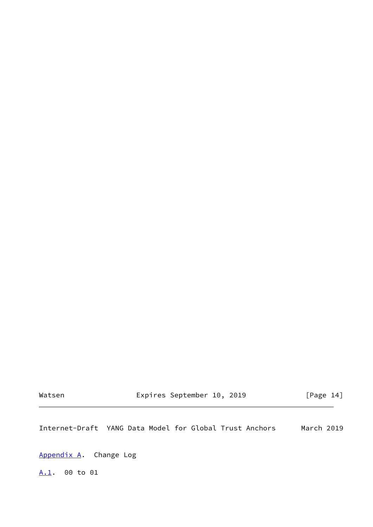Watsen **Expires September 10, 2019** [Page 14]

<span id="page-15-1"></span>Internet-Draft YANG Data Model for Global Trust Anchors March 2019

<span id="page-15-0"></span>[Appendix A.](#page-15-0) Change Log

<span id="page-15-2"></span>[A.1](#page-15-2). 00 to 01